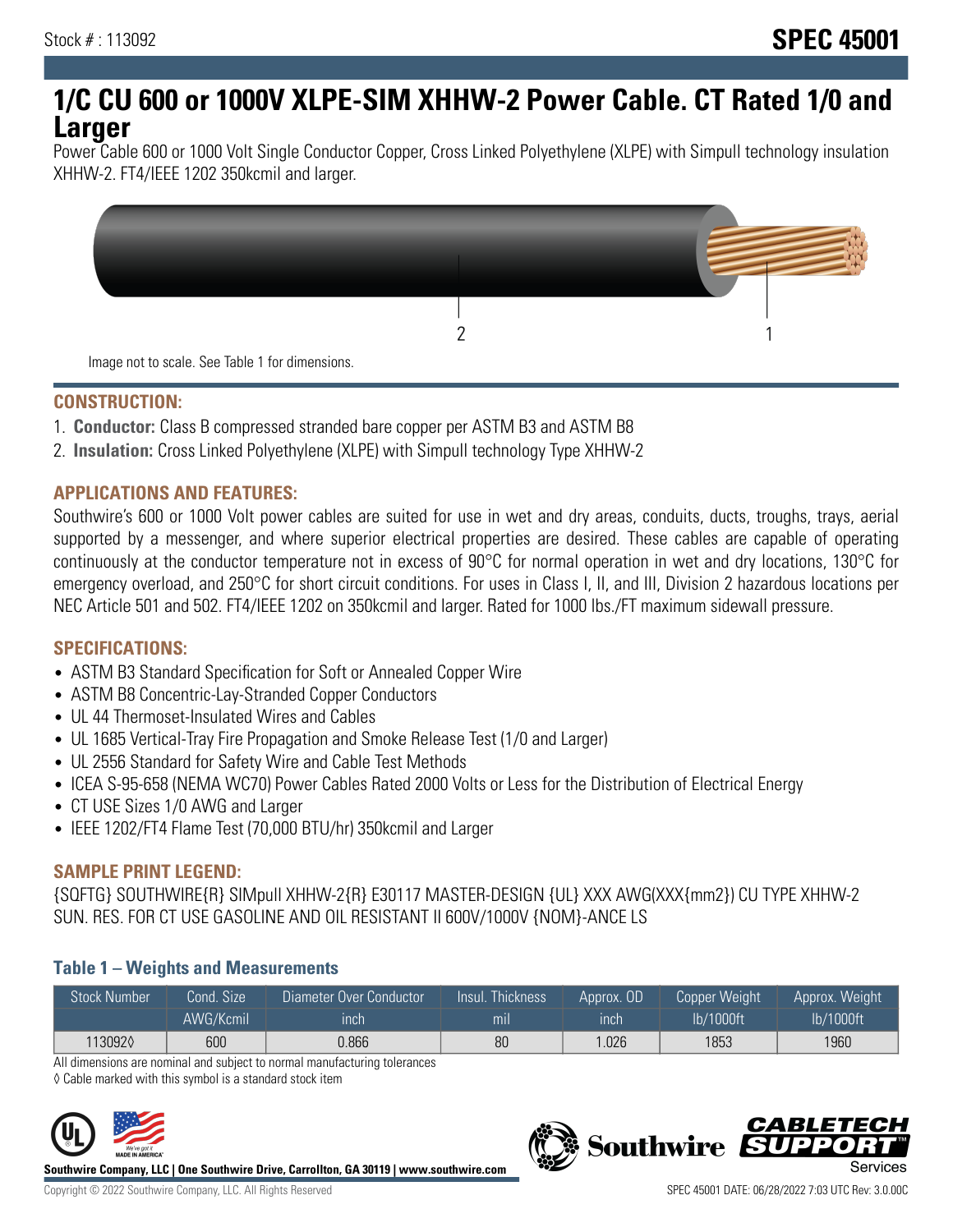# **1/C CU 600 or 1000V XLPE-SIM XHHW-2 Power Cable. CT Rated 1/0 and Larger**

Power Cable 600 or 1000 Volt Single Conductor Copper, Cross Linked Polyethylene (XLPE) with Simpull technology insulation XHHW-2. FT4/IEEE 1202 350kcmil and larger.



## **CONSTRUCTION:**

- 1. **Conductor:** Class B compressed stranded bare copper per ASTM B3 and ASTM B8
- 2. **Insulation:** Cross Linked Polyethylene (XLPE) with Simpull technology Type XHHW-2

## **APPLICATIONS AND FEATURES:**

Southwire's 600 or 1000 Volt power cables are suited for use in wet and dry areas, conduits, ducts, troughs, trays, aerial supported by a messenger, and where superior electrical properties are desired. These cables are capable of operating continuously at the conductor temperature not in excess of 90°C for normal operation in wet and dry locations, 130°C for emergency overload, and 250°C for short circuit conditions. For uses in Class I, II, and III, Division 2 hazardous locations per NEC Article 501 and 502. FT4/IEEE 1202 on 350kcmil and larger. Rated for 1000 lbs./FT maximum sidewall pressure.

## **SPECIFICATIONS:**

- ASTM B3 Standard Specification for Soft or Annealed Copper Wire
- ASTM B8 Concentric-Lay-Stranded Copper Conductors
- UL 44 Thermoset-Insulated Wires and Cables
- UL 1685 Vertical-Tray Fire Propagation and Smoke Release Test (1/0 and Larger)
- UL 2556 Standard for Safety Wire and Cable Test Methods
- ICEA S-95-658 (NEMA WC70) Power Cables Rated 2000 Volts or Less for the Distribution of Electrical Energy
- CT USE Sizes 1/0 AWG and Larger
- IEEE 1202/FT4 Flame Test (70,000 BTU/hr) 350kcmil and Larger

## **SAMPLE PRINT LEGEND:**

{SQFTG} SOUTHWIRE{R} SIMpull XHHW-2{R} E30117 MASTER-DESIGN {UL} XXX AWG(XXX{mm2}) CU TYPE XHHW-2 SUN. RES. FOR CT USE GASOLINE AND OIL RESISTANT II 600V/1000V {NOM}-ANCE LS

## **Table 1 – Weights and Measurements**

| <b>Stock Number</b> | Cond. Size | Diameter Over Conductor | Insul. Thickness | Approx, OD | Copper Weight | Approx. Weight |
|---------------------|------------|-------------------------|------------------|------------|---------------|----------------|
|                     | AWG/Kcmil  | ınch                    | mıl              | inch       | lb/1000ft     | lb/1000ft      |
| 1130920             | 600        | 0.866                   | 80               | .026       | 1853          | 1960           |

All dimensions are nominal and subject to normal manufacturing tolerances

◊ Cable marked with this symbol is a standard stock item



**Southwire Company, LLC | One Southwire Drive, Carrollton, GA 30119 | www.southwire.com**

*CABLETE*